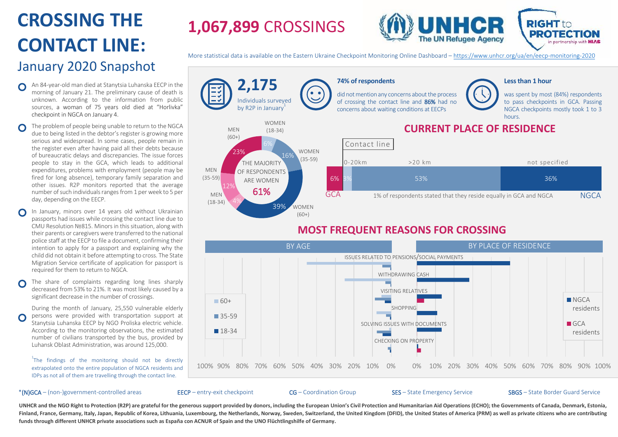# **CROSSING THE** ` **CONTACT LINE:**  January 2020 Snapshot

- An 84-year-old man died at Stanytsia Luhanska EECP in the  $\Omega$ morning of January 21. The preliminary cause of death is unknown. According to the information from public sources, a woman of 75 years old died at "Horlivka" checkpoint in NGCA on January 4.
- The problem of people being unable to return to the NGCA  $\Omega$ due to being listed in the debtor's register is growing more serious and widespread. In some cases, people remain in the register even after having paid all their debts because of bureaucratic delays and discrepancies. The issue forces people to stay in the GCA, which leads to additional expenditures, problems with employment (people may be fired for long absence), temporary family separation and other issues. R2P monitors reported that the average number of such individuals ranges from 1 per week to 5 per day, depending on the EECP.
- In January, minors over 14 years old without Ukrainian passports had issues while crossing the contact line due to CMU Resolution №815. Minors in this situation, along with their parents or caregivers were transferred to the national police staff at the EECP to file a document, confirming their intention to apply for a passport and explaining why the child did not obtain it before attempting to cross. The State Migration Service certificate of application for passport is required for them to return to NGCA.
- The share of complaints regarding long lines sharply  $\Omega$ decreased from 53% to 21%. It was most likely caused by a significant decrease in the number of crossings.

During the month of January, 25,550 vulnerable elderly persons were provided with transportation support at Stanytsia Luhanska EECP by NGO Proliska electric vehicle. According to the monitoring observations, the estimated number of civilians transported by the bus, provided by Luhansk Oblast Administration, was around 125,000.

<sup>1</sup>The findings of the monitoring should not be directly extrapolated onto the entire population of NGCA residents and IDPs as not all of them are travelling through the contact line.

#### \*(N)GCA – (non-)government-controlled areas EECP – entry-exit checkpoint CG – Coordination Group SES – State Emergency Service SBGS – State Border Guard Service

**1,067,899** CROSSINGS



More statistical data is available on the Eastern Ukraine Checkpoint Monitoring Online Dashboard – <https://www.unhcr.org/ua/en/eecp-monitoring-2020>



SOLVING ISSUES WITH DOCUMENTS

CHECKING ON PROPERTY

18-34

residents

nartnership with **HIAS** 

0% 10% 20% 30% 40% 50% 60% 70% 80% 90% 100%

UNHCR and the NGO Right to Protection (R2P) are grateful for the generous support provided by donors, including the European Union's Civil Protection and Humanitarian Aid Operations (ECHO); the Governments of Canada, Denma Finland, France, Germany, Italy, Japan, Republic of Korea, Lithuania, Luxembourg, the Netherlands, Norway, Sweden, Switzerland, the United Kingdom (DFID), the United States of America (PRM) as well as private citizens who **funds through different UNHCR private associations such as España con ACNUR of Spain and the UNO Flüchtlingshilfe of Germany.**

100% 90% 80% 70% 60% 50% 40% 30% 20% 10% 0%